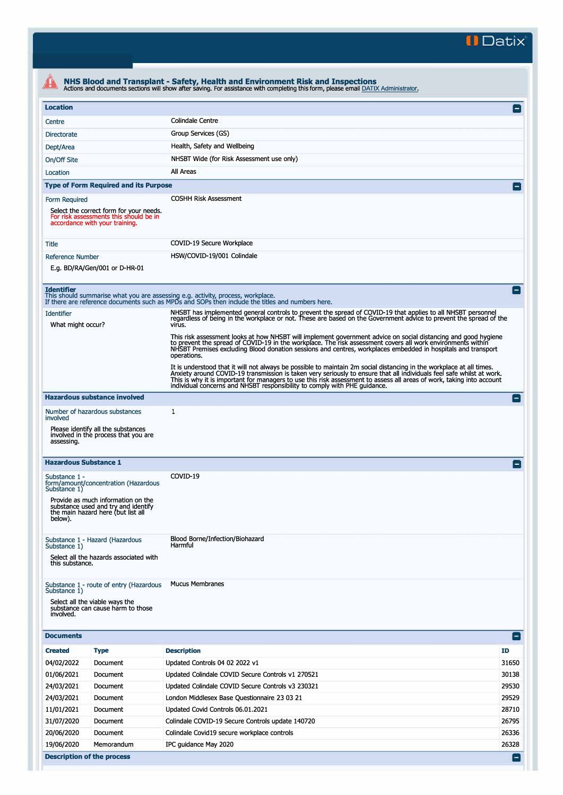**II Datix'** 

| <b>Location</b>                                                    |                                                                                                                     |                                                                                                                                                                                                                                                                                                                                                                                                                                                     | E                        |
|--------------------------------------------------------------------|---------------------------------------------------------------------------------------------------------------------|-----------------------------------------------------------------------------------------------------------------------------------------------------------------------------------------------------------------------------------------------------------------------------------------------------------------------------------------------------------------------------------------------------------------------------------------------------|--------------------------|
|                                                                    |                                                                                                                     | <b>Colindale Centre</b>                                                                                                                                                                                                                                                                                                                                                                                                                             |                          |
| Centre                                                             |                                                                                                                     |                                                                                                                                                                                                                                                                                                                                                                                                                                                     |                          |
| <b>Directorate</b>                                                 |                                                                                                                     | Group Services (GS)                                                                                                                                                                                                                                                                                                                                                                                                                                 |                          |
| Dept/Area                                                          |                                                                                                                     | Health, Safety and Wellbeing                                                                                                                                                                                                                                                                                                                                                                                                                        |                          |
| On/Off Site                                                        |                                                                                                                     | NHSBT Wide (for Risk Assessment use only)                                                                                                                                                                                                                                                                                                                                                                                                           |                          |
| Location                                                           |                                                                                                                     | All Areas                                                                                                                                                                                                                                                                                                                                                                                                                                           |                          |
|                                                                    | <b>Type of Form Required and its Purpose</b>                                                                        |                                                                                                                                                                                                                                                                                                                                                                                                                                                     | $\overline{\phantom{a}}$ |
| Form Required                                                      |                                                                                                                     | <b>COSHH Risk Assessment</b>                                                                                                                                                                                                                                                                                                                                                                                                                        |                          |
|                                                                    | Select the correct form for your needs.<br>For risk assessments this should be in<br>accordance with your training. |                                                                                                                                                                                                                                                                                                                                                                                                                                                     |                          |
| Title                                                              |                                                                                                                     | COVID-19 Secure Workplace                                                                                                                                                                                                                                                                                                                                                                                                                           |                          |
| <b>Reference Number</b>                                            |                                                                                                                     | HSW/COVID-19/001 Colindale                                                                                                                                                                                                                                                                                                                                                                                                                          |                          |
|                                                                    | E.g. BD/RA/Gen/001 or D-HR-01                                                                                       |                                                                                                                                                                                                                                                                                                                                                                                                                                                     |                          |
|                                                                    |                                                                                                                     |                                                                                                                                                                                                                                                                                                                                                                                                                                                     |                          |
| <b>Identifier</b>                                                  |                                                                                                                     | This should summarise what you are assessing e.g. activity, process, workplace.<br>If there are reference documents such as MPDs and SOPs then include the titles and numbers here.                                                                                                                                                                                                                                                                 | $\blacksquare$           |
| <b>Identifier</b><br>What might occur?                             |                                                                                                                     | NHSBT has implemented general controls to prevent the spread of COVID-19 that applies to all NHSBT personnel<br>regardless of being in the workplace or not. These are based on the Government advice to prevent the spread of the<br>virus.                                                                                                                                                                                                        |                          |
|                                                                    |                                                                                                                     | This risk assessment looks at how NHSBT will implement government advice on social distancing and good hygiene<br>to prevent the spread of COVID-19 in the workplace. The risk assessment covers all work environments within<br>NHSBT Premises excluding Blood donation sessions and centres, workplaces embedded in hospitals and transport<br>operations.                                                                                        |                          |
|                                                                    |                                                                                                                     | It is understood that it will not always be possible to maintain 2m social distancing in the workplace at all times.<br>Anxiety around COVID-19 transmission is taken very seriously to ensure that all individuals feel safe whilst at work.<br>This is why it is important for managers to use this risk assessment to assess all areas of work, taking into account<br>individual concerns and NHSBT responsibility to comply with PHE guidance. |                          |
|                                                                    | <b>Hazardous substance involved</b>                                                                                 |                                                                                                                                                                                                                                                                                                                                                                                                                                                     | E                        |
| involved                                                           | Number of hazardous substances                                                                                      | 1                                                                                                                                                                                                                                                                                                                                                                                                                                                   |                          |
| assessing.                                                         | Please identify all the substances<br>involved in the process that you are                                          |                                                                                                                                                                                                                                                                                                                                                                                                                                                     |                          |
| <b>Hazardous Substance 1</b>                                       |                                                                                                                     |                                                                                                                                                                                                                                                                                                                                                                                                                                                     | $\overline{\phantom{0}}$ |
| Substance 1 -<br>Substance 1)                                      | form/amount/concentration (Hazardous                                                                                | COVID-19                                                                                                                                                                                                                                                                                                                                                                                                                                            |                          |
| below).                                                            | Provide as much information on the<br>substance used and try and identify<br>the main hazard here (but list all     |                                                                                                                                                                                                                                                                                                                                                                                                                                                     |                          |
| Substance 1)                                                       | Substance 1 - Hazard (Hazardous                                                                                     | Blood Borne/Infection/Biohazard<br>Harmful                                                                                                                                                                                                                                                                                                                                                                                                          |                          |
| this substance.                                                    | Select all the hazards associated with                                                                              |                                                                                                                                                                                                                                                                                                                                                                                                                                                     |                          |
|                                                                    | Substance 1 - route of entry (Hazardous                                                                             | <b>Mucus Membranes</b>                                                                                                                                                                                                                                                                                                                                                                                                                              |                          |
| Substance 1)                                                       |                                                                                                                     |                                                                                                                                                                                                                                                                                                                                                                                                                                                     |                          |
| involved.                                                          | Select all the viable ways the<br>substance can cause harm to those                                                 |                                                                                                                                                                                                                                                                                                                                                                                                                                                     |                          |
| <b>Documents</b>                                                   |                                                                                                                     |                                                                                                                                                                                                                                                                                                                                                                                                                                                     | E                        |
| <b>Created</b>                                                     | <b>Type</b>                                                                                                         | <b>Description</b>                                                                                                                                                                                                                                                                                                                                                                                                                                  | ID.                      |
| 04/02/2022                                                         | Document                                                                                                            | Updated Controls 04 02 2022 v1                                                                                                                                                                                                                                                                                                                                                                                                                      | 31650                    |
| 01/06/2021                                                         | Document                                                                                                            | Updated Colindale COVID Secure Controls v1 270521                                                                                                                                                                                                                                                                                                                                                                                                   | 30138                    |
|                                                                    | Document                                                                                                            | Updated Colindale COVID Secure Controls v3 230321                                                                                                                                                                                                                                                                                                                                                                                                   | 29530                    |
|                                                                    | Document                                                                                                            | London Middlesex Base Questionnaire 23 03 21                                                                                                                                                                                                                                                                                                                                                                                                        | 29529                    |
|                                                                    |                                                                                                                     |                                                                                                                                                                                                                                                                                                                                                                                                                                                     |                          |
|                                                                    | Document                                                                                                            | Updated Covid Controls 06.01.2021                                                                                                                                                                                                                                                                                                                                                                                                                   |                          |
|                                                                    | Document                                                                                                            | Colindale COVID-19 Secure Controls update 140720                                                                                                                                                                                                                                                                                                                                                                                                    | 28710<br>26795           |
| 24/03/2021<br>24/03/2021<br>11/01/2021<br>31/07/2020<br>20/06/2020 | Document                                                                                                            | Colindale Covid19 secure workplace controls                                                                                                                                                                                                                                                                                                                                                                                                         | 26336                    |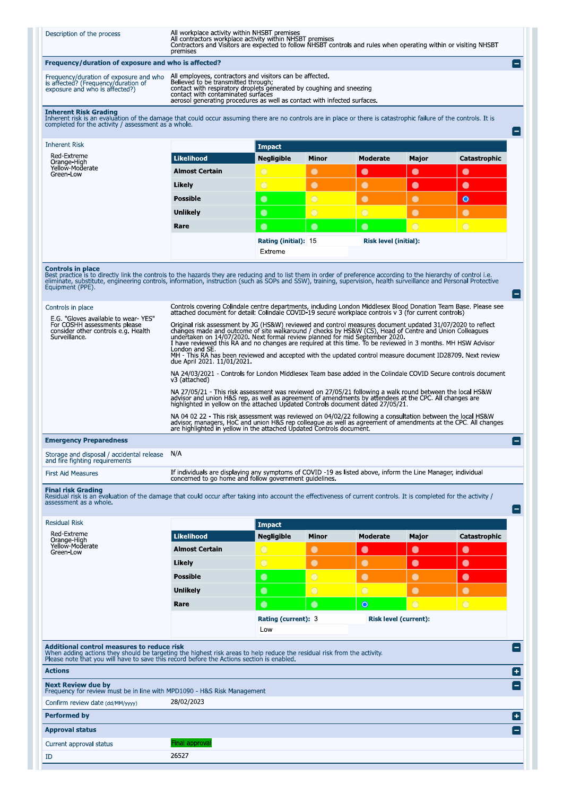| Description of the process |  |  |  |
|----------------------------|--|--|--|
|----------------------------|--|--|--|

All workplace activity within NHSBT premises<br>All contractors workplace activity within NHSBT premises<br>Contractors and Visitors are expected to follow NHSBT controls and rules when operating within or visiting NHSBT premises

e

E

E

## Frequency/duration of exposure and who is affected?

| Frequency/duration of exposure and who<br>is affected? (Frequency/duration of<br>exposure and who is affected?) | All employees, contractors and visitors can be affected.<br>Believed to be transmitted through:<br>contact with respiratory droplets generated by coughing and sneezing<br>contact with contaminated surfaces<br>aerosol generating procedures as well as contact with infected surfaces. |
|-----------------------------------------------------------------------------------------------------------------|-------------------------------------------------------------------------------------------------------------------------------------------------------------------------------------------------------------------------------------------------------------------------------------------|

# **Inherent Risk Grading**<br>Inherent risk is an evaluation of the damage that could occur assuming there are no controls are in place or there is catastrophic failure of the controls. It is<br>completed for the activity / assessm

| completed for the activity placecomment as a milotely |                       |                      |                |                              |            |              |  |
|-------------------------------------------------------|-----------------------|----------------------|----------------|------------------------------|------------|--------------|--|
| <b>Inherent Risk</b>                                  |                       | Impact               |                |                              |            |              |  |
| Red-Extreme<br>Orange-High                            | Likelihood            | <b>Negligible</b>    | <b>Minor</b>   | <b>Moderate</b>              | Major      | Catastrophic |  |
| Yellow-Moderate<br>Green-Low                          | <b>Almost Certain</b> | $\bigcirc$           | $\bullet$      | $\bullet$                    | $\bullet$  | $\bullet$    |  |
|                                                       | Likely                | $\bigcirc$           | $\bullet$      | $\bullet$                    | $\bullet$  | $\bullet$    |  |
|                                                       | <b>Possible</b>       | $\bullet$            | $\overline{O}$ | $\bullet$                    | $\bullet$  | $\bullet$    |  |
|                                                       | <b>Unlikely</b>       | $\bullet$            | $\overline{O}$ | $\circ$                      | $\bullet$  | $\bullet$    |  |
|                                                       | Rare                  | $\bullet$            | $\bullet$      | $\bullet$                    | $\bigcirc$ | $\bigcirc$   |  |
|                                                       |                       | Rating (initial): 15 |                | <b>Risk level (initial):</b> |            |              |  |
|                                                       |                       | Extreme              |                |                              |            |              |  |

**Controls in place**<br>Best practice is to directly link the controls to the hazards they are reducing and to list them in order of preference according to the hierarchy of control i.e.<br>eliminate, substitute, engineering cont

| Controls in place                                                                                                           | Controls covering Colindale centre departments, including London Middlesex Blood Donation Team Base. Please see<br>attached document for detail: Colindale COVID-19 secure workplace controls v 3 (for current controls)                                                                                                                                                                                                                                                                                                                                                          |  |
|-----------------------------------------------------------------------------------------------------------------------------|-----------------------------------------------------------------------------------------------------------------------------------------------------------------------------------------------------------------------------------------------------------------------------------------------------------------------------------------------------------------------------------------------------------------------------------------------------------------------------------------------------------------------------------------------------------------------------------|--|
| E.G. "Gloves available to wear YES"<br>For COSHH assessments please<br>consider other controls e.g. Health<br>Surveillance. | Original risk assessment by JG (HS&W) reviewed and control measures document updated 31/07/2020 to reflect<br>changes made and outcome of site walkaround / checks by HS&W (CS), Head of Centre and Union Colleagues<br>undertaken on 14/07/2020. Next formal review planned for mid September 2020.<br>I have reviewed this RA and no changes are required at this time. To be reviewed in 3 months, MH HSW Advisor<br>London and SE.<br>MH - This RA has been reviewed and accepted with the updated control measure document ID28709. Next review<br>due April 2021 11/01/2021 |  |
|                                                                                                                             | NA 24/03/2021 - Controls for London Middlesex Team base added in the Colindale COVID Secure controls document<br>v3 (attached)                                                                                                                                                                                                                                                                                                                                                                                                                                                    |  |
|                                                                                                                             | NA 27/05/21 - This risk assessment was reviewed on 27/05/21 following a walk round between the local HS&W<br>advisor and union H&S rep, as well as agreement of amendments by attendees at the CPC. All changes are<br>highlighted in yellow on the attached Updated Controls document dated 27/05/21.                                                                                                                                                                                                                                                                            |  |
|                                                                                                                             | NA 04 02 22 - This risk assessment was reviewed on 04/02/22 following a consultation between the local HS&W<br>advisor, managers, HoC and union H&S rep colleague as well as agreement of amendments at the CPC. All changes<br>are highlighted in yellow in the attached Updated Controls document                                                                                                                                                                                                                                                                               |  |
| <b>Emergency Preparedness</b>                                                                                               |                                                                                                                                                                                                                                                                                                                                                                                                                                                                                                                                                                                   |  |
| Chairman and discovered to existent unlessed. NIA                                                                           |                                                                                                                                                                                                                                                                                                                                                                                                                                                                                                                                                                                   |  |

### Storage and disposal / accidental release<br>and fire fighting requirements  $N/P$

| <b>First Aid Measures</b> | If individuals are displaying any symptoms of COVID -19 as listed above, inform the Line Manager, individual<br>concerned to go home and follow government guidelines |
|---------------------------|-----------------------------------------------------------------------------------------------------------------------------------------------------------------------|
|                           |                                                                                                                                                                       |

Final risk Grading<br>Residual risk is an evaluation of the damage that could occur after taking into account the effectiveness of current controls. It is completed for the activity /<br>assessment as a whole.

| <b>Residual Risk</b>                                                                                                                                                                                                                                                           |                       | Impact              |              |                              |            |                          |  |
|--------------------------------------------------------------------------------------------------------------------------------------------------------------------------------------------------------------------------------------------------------------------------------|-----------------------|---------------------|--------------|------------------------------|------------|--------------------------|--|
| Red-Extreme<br>Orange-High                                                                                                                                                                                                                                                     | <b>Likelihood</b>     | <b>Negligible</b>   | <b>Minor</b> | Moderate                     | Major      | Catastrophic             |  |
| Yellow-Moderate<br>Green-Low                                                                                                                                                                                                                                                   | <b>Almost Certain</b> | $\bigcirc$          | $\bullet$    | $\bullet$                    | $\bullet$  | $\bullet$                |  |
|                                                                                                                                                                                                                                                                                | Likely                | $\bigcirc$          | $\bullet$    | $\bullet$                    | $\bullet$  | $\bullet$                |  |
|                                                                                                                                                                                                                                                                                | <b>Possible</b>       | $\bullet$           | $\circ$      | $\bullet$                    | $\bullet$  | $\bullet$                |  |
|                                                                                                                                                                                                                                                                                | <b>Unlikely</b>       | $\bullet$           | $\bigcirc$   | $\bigcirc$                   | $\bullet$  | $\bullet$                |  |
|                                                                                                                                                                                                                                                                                | Rare                  | $\bullet$           | $\bullet$    | $\circ$                      | $\bigcirc$ | $\bigcirc$               |  |
|                                                                                                                                                                                                                                                                                |                       | Rating (current): 3 |              | <b>Risk level (current):</b> |            |                          |  |
|                                                                                                                                                                                                                                                                                |                       | Low                 |              |                              |            |                          |  |
| Additional control measures to reduce risk<br>$\equiv$<br>When adding actions they should be targeting the highest risk areas to help reduce the residual risk from the activity.<br>Please note that you will have to save this record before the Actions section is enabled. |                       |                     |              |                              |            |                          |  |
| <b>Actions</b>                                                                                                                                                                                                                                                                 | $\mathbf{H}$          |                     |              |                              |            |                          |  |
| <b>Next Review due by</b><br>Frequency for review must be in line with MPD1090 - H&S Risk Management                                                                                                                                                                           |                       |                     |              |                              |            | $\overline{ }$           |  |
| Confirm review date (dd/MM/yyyy)                                                                                                                                                                                                                                               | 28/02/2023            |                     |              |                              |            |                          |  |
| <b>Performed by</b>                                                                                                                                                                                                                                                            |                       |                     |              |                              |            | $\left  + \right $       |  |
| <b>Approval status</b>                                                                                                                                                                                                                                                         |                       |                     |              |                              |            | $\overline{\phantom{a}}$ |  |
| Current approval status                                                                                                                                                                                                                                                        | Final approval        |                     |              |                              |            |                          |  |
| ID                                                                                                                                                                                                                                                                             | 26527                 |                     |              |                              |            |                          |  |